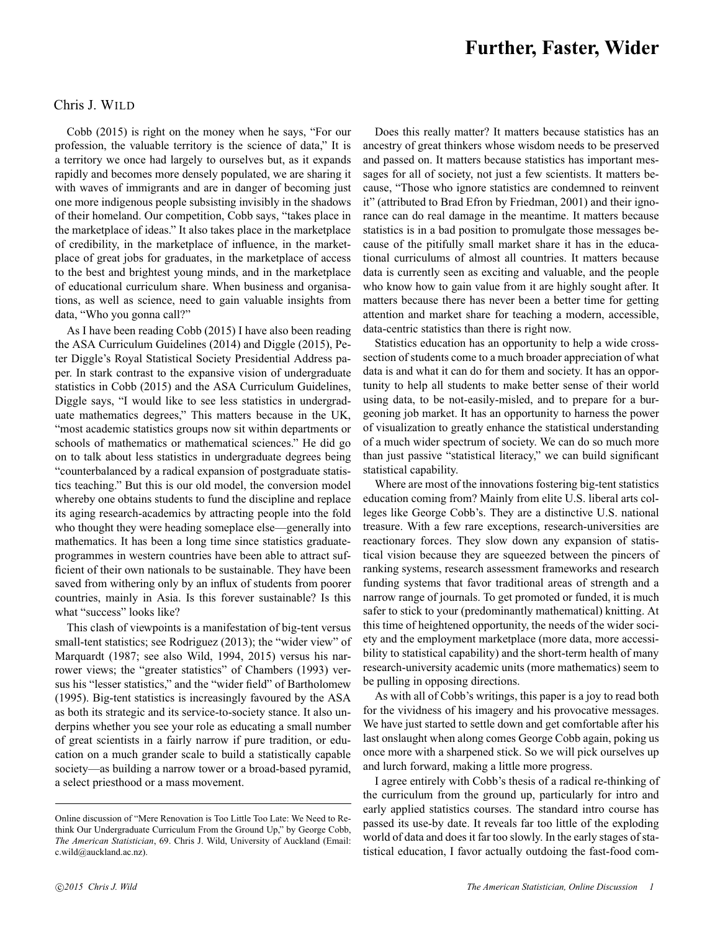## Chris J. WILD

Cobb (2015) is right on the money when he says, "For our profession, the valuable territory is the science of data," It is a territory we once had largely to ourselves but, as it expands rapidly and becomes more densely populated, we are sharing it with waves of immigrants and are in danger of becoming just one more indigenous people subsisting invisibly in the shadows of their homeland. Our competition, Cobb says, "takes place in the marketplace of ideas." It also takes place in the marketplace of credibility, in the marketplace of influence, in the marketplace of great jobs for graduates, in the marketplace of access to the best and brightest young minds, and in the marketplace of educational curriculum share. When business and organisations, as well as science, need to gain valuable insights from data, "Who you gonna call?"

As I have been reading Cobb (2015) I have also been reading the ASA Curriculum Guidelines (2014) and Diggle (2015), Peter Diggle's Royal Statistical Society Presidential Address paper. In stark contrast to the expansive vision of undergraduate statistics in Cobb (2015) and the ASA Curriculum Guidelines, Diggle says, "I would like to see less statistics in undergraduate mathematics degrees," This matters because in the UK, "most academic statistics groups now sit within departments or schools of mathematics or mathematical sciences." He did go on to talk about less statistics in undergraduate degrees being "counterbalanced by a radical expansion of postgraduate statistics teaching." But this is our old model, the conversion model whereby one obtains students to fund the discipline and replace its aging research-academics by attracting people into the fold who thought they were heading someplace else—generally into mathematics. It has been a long time since statistics graduateprogrammes in western countries have been able to attract sufficient of their own nationals to be sustainable. They have been saved from withering only by an influx of students from poorer countries, mainly in Asia. Is this forever sustainable? Is this what "success" looks like?

This clash of viewpoints is a manifestation of big-tent versus small-tent statistics; see Rodriguez (2013); the "wider view" of Marquardt (1987; see also Wild, 1994, 2015) versus his narrower views; the "greater statistics" of Chambers (1993) versus his "lesser statistics," and the "wider field" of Bartholomew (1995). Big-tent statistics is increasingly favoured by the ASA as both its strategic and its service-to-society stance. It also underpins whether you see your role as educating a small number of great scientists in a fairly narrow if pure tradition, or education on a much grander scale to build a statistically capable society—as building a narrow tower or a broad-based pyramid, a select priesthood or a mass movement.

Does this really matter? It matters because statistics has an ancestry of great thinkers whose wisdom needs to be preserved and passed on. It matters because statistics has important messages for all of society, not just a few scientists. It matters because, "Those who ignore statistics are condemned to reinvent it" (attributed to Brad Efron by Friedman, 2001) and their ignorance can do real damage in the meantime. It matters because statistics is in a bad position to promulgate those messages because of the pitifully small market share it has in the educational curriculums of almost all countries. It matters because data is currently seen as exciting and valuable, and the people who know how to gain value from it are highly sought after. It matters because there has never been a better time for getting attention and market share for teaching a modern, accessible, data-centric statistics than there is right now.

Statistics education has an opportunity to help a wide crosssection of students come to a much broader appreciation of what data is and what it can do for them and society. It has an opportunity to help all students to make better sense of their world using data, to be not-easily-misled, and to prepare for a burgeoning job market. It has an opportunity to harness the power of visualization to greatly enhance the statistical understanding of a much wider spectrum of society. We can do so much more than just passive "statistical literacy," we can build significant statistical capability.

Where are most of the innovations fostering big-tent statistics education coming from? Mainly from elite U.S. liberal arts colleges like George Cobb's. They are a distinctive U.S. national treasure. With a few rare exceptions, research-universities are reactionary forces. They slow down any expansion of statistical vision because they are squeezed between the pincers of ranking systems, research assessment frameworks and research funding systems that favor traditional areas of strength and a narrow range of journals. To get promoted or funded, it is much safer to stick to your (predominantly mathematical) knitting. At this time of heightened opportunity, the needs of the wider society and the employment marketplace (more data, more accessibility to statistical capability) and the short-term health of many research-university academic units (more mathematics) seem to be pulling in opposing directions.

As with all of Cobb's writings, this paper is a joy to read both for the vividness of his imagery and his provocative messages. We have just started to settle down and get comfortable after his last onslaught when along comes George Cobb again, poking us once more with a sharpened stick. So we will pick ourselves up and lurch forward, making a little more progress.

I agree entirely with Cobb's thesis of a radical re-thinking of the curriculum from the ground up, particularly for intro and early applied statistics courses. The standard intro course has passed its use-by date. It reveals far too little of the exploding world of data and does it far too slowly. In the early stages of statistical education, I favor actually outdoing the fast-food com-

Online discussion of "Mere Renovation is Too Little Too Late: We Need to Rethink Our Undergraduate Curriculum From the Ground Up," by George Cobb, *The American Statistician*, 69. Chris J. Wild, University of Auckland (Email: c.wild@auckland.ac.nz).